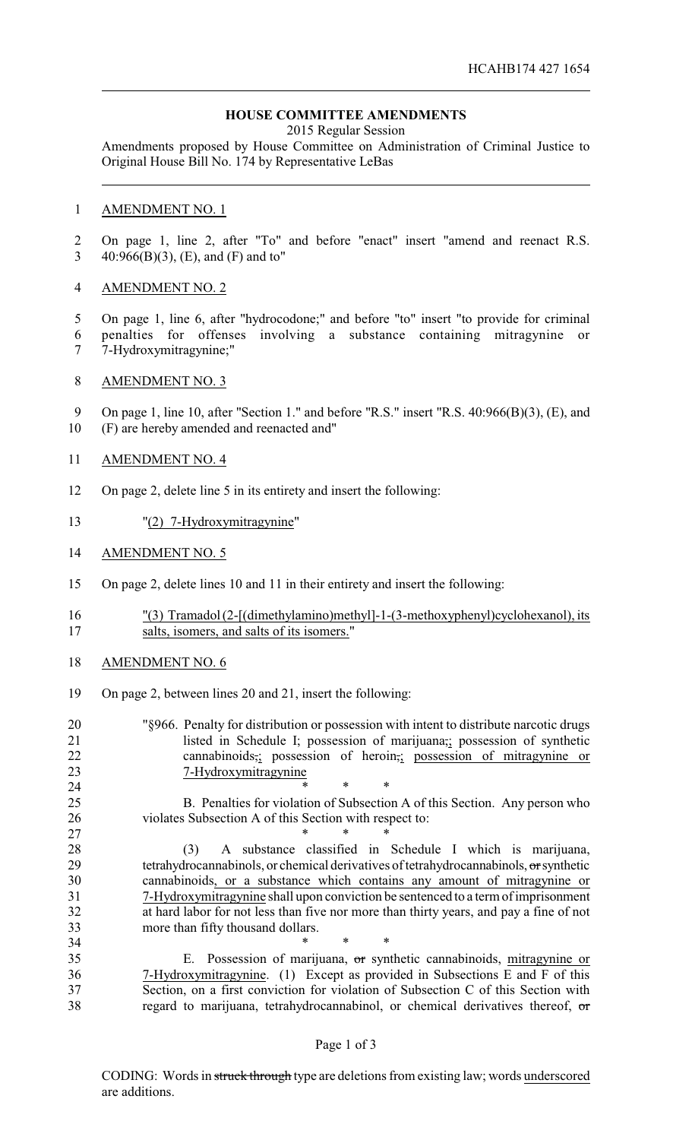## **HOUSE COMMITTEE AMENDMENTS**

2015 Regular Session

Amendments proposed by House Committee on Administration of Criminal Justice to Original House Bill No. 174 by Representative LeBas

#### AMENDMENT NO. 1

 On page 1, line 2, after "To" and before "enact" insert "amend and reenact R.S. 40:966(B)(3), (E), and (F) and to"

## AMENDMENT NO. 2

 On page 1, line 6, after "hydrocodone;" and before "to" insert "to provide for criminal penalties for offenses involving a substance containing mitragynine or 7-Hydroxymitragynine;"

## AMENDMENT NO. 3

9 On page 1, line 10, after "Section 1." and before "R.S." insert "R.S. 40:966(B)(3), (E), and (F) are hereby amended and reenacted and"

#### AMENDMENT NO. 4

- On page 2, delete line 5 in its entirety and insert the following:
- "(2) 7-Hydroxymitragynine"
- AMENDMENT NO. 5
- On page 2, delete lines 10 and 11 in their entirety and insert the following:
- "(3) Tramadol (2-[(dimethylamino)methyl]-1-(3-methoxyphenyl)cyclohexanol), its salts, isomers, and salts of its isomers."
- AMENDMENT NO. 6
- On page 2, between lines 20 and 21, insert the following:
- "§966. Penalty for distribution or possession with intent to distribute narcotic drugs listed in Schedule I; possession of marijuana,; possession of synthetic cannabinoids,; possession of heroin,; possession of mitragynine or 7-Hydroxymitragynine **\*** \* \* \*

 B. Penalties for violation of Subsection A of this Section. Any person who violates Subsection A of this Section with respect to:

 \* \* \* (3) A substance classified in Schedule I which is marijuana, 29 tetrahydrocannabinols, or chemical derivatives of tetrahydrocannabinols,  $\sigma$ r synthetic cannabinoids, or a substance which contains any amount of mitragynine or 7-Hydroxymitragynine shall upon conviction be sentenced to a term of imprisonment at hard labor for not less than five nor more than thirty years, and pay a fine of not more than fifty thousand dollars.

 \* \* \* E. Possession of marijuana, or synthetic cannabinoids, mitragynine or 7-Hydroxymitragynine. (1) Except as provided in Subsections E and F of this Section, on a first conviction for violation of Subsection C of this Section with regard to marijuana, tetrahydrocannabinol, or chemical derivatives thereof, or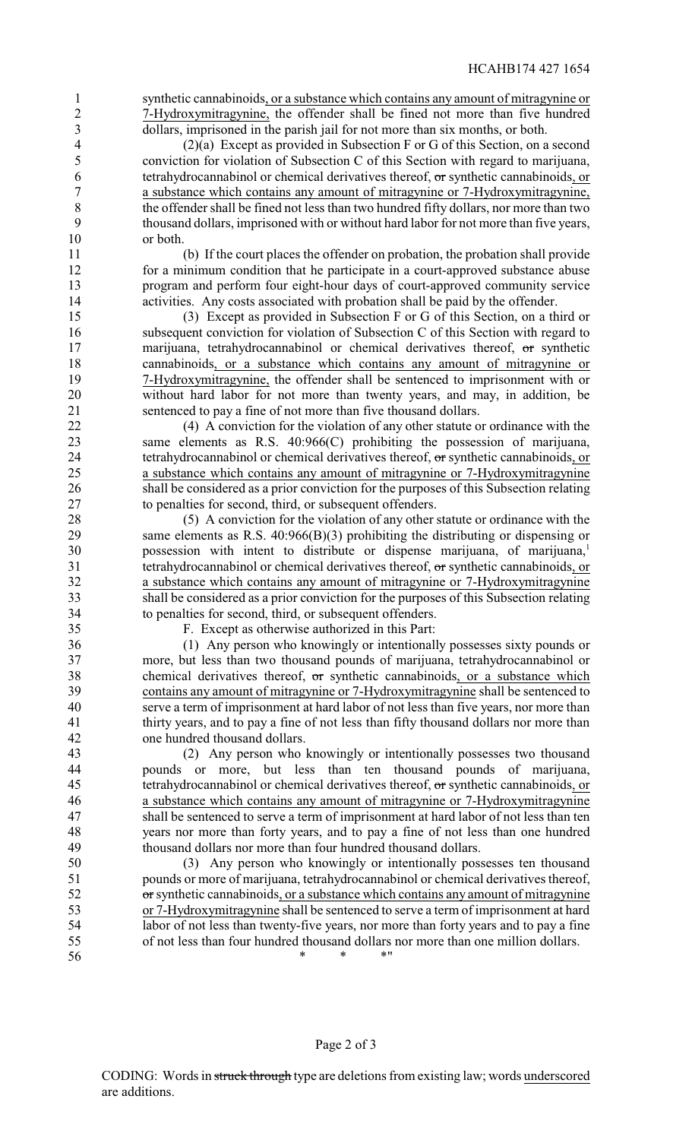synthetic cannabinoids, or a substance which contains any amount of mitragynine or 7-Hydroxymitragynine, the offender shall be fined not more than five hundred dollars, imprisoned in the parish jail for not more than six months, or both.

 (2)(a) Except as provided in Subsection F or G of this Section, on a second conviction for violation of Subsection C of this Section with regard to marijuana, tetrahydrocannabinol or chemical derivatives thereof, or synthetic cannabinoids, or a substance which contains any amount of mitragynine or 7-Hydroxymitragynine, 8 the offender shall be fined not less than two hundred fifty dollars, nor more than two<br>9 thousand dollars, imprisoned with or without hard labor for not more than five years thousand dollars, imprisoned with or without hard labor for not more than five years, or both.

 (b) If the court places the offender on probation, the probation shall provide for a minimum condition that he participate in a court-approved substance abuse program and perform four eight-hour days of court-approved community service activities. Any costs associated with probation shall be paid by the offender.

 (3) Except as provided in Subsection F or G of this Section, on a third or subsequent conviction for violation of Subsection C of this Section with regard to 17 marijuana, tetrahydrocannabinol or chemical derivatives thereof, or synthetic cannabinoids, or a substance which contains any amount of mitragynine or 7-Hydroxymitragynine, the offender shall be sentenced to imprisonment with or without hard labor for not more than twenty years, and may, in addition, be sentenced to pay a fine of not more than five thousand dollars.

 (4) A conviction for the violation of any other statute or ordinance with the same elements as R.S. 40:966(C) prohibiting the possession of marijuana, 24 tetrahydrocannabinol or chemical derivatives thereof, or synthetic cannabinoids, or<br>25 a substance which contains any amount of mitragynine or 7-Hydroxymitragynine a substance which contains any amount of mitragynine or 7-Hydroxymitragynine shall be considered as a prior conviction for the purposes of this Subsection relating to penalties for second, third, or subsequent offenders.

 (5) A conviction for the violation of any other statute or ordinance with the same elements as R.S. 40:966(B)(3) prohibiting the distributing or dispensing or possession with intent to distribute or dispense marijuana, of marijuana,<sup>1</sup> 31 tetrahydrocannabinol or chemical derivatives thereof, or synthetic cannabinoids, or a substance which contains any amount of mitragynine or 7-Hydroxymitragynine shall be considered as a prior conviction for the purposes of this Subsection relating 34 to penalties for second, third, or subsequent offenders.<br>35 F. Except as otherwise authorized in this Part:

35 F. Except as otherwise authorized in this Part:<br>36 (1) Any person who knowingly or intentional (1) Any person who knowingly or intentionally possesses sixty pounds or more, but less than two thousand pounds of marijuana, tetrahydrocannabinol or 38 chemical derivatives thereof, or synthetic cannabinoids, or a substance which contains any amount of mitragynine or 7-Hydroxymitragynine shall be sentenced to serve a term of imprisonment at hard labor of not less than five years, nor more than thirty years, and to pay a fine of not less than fifty thousand dollars nor more than one hundred thousand dollars.

 (2) Any person who knowingly or intentionally possesses two thousand pounds or more, but less than ten thousand pounds of marijuana, 45 tetrahydrocannabinol or chemical derivatives thereof, or synthetic cannabinoids, or a substance which contains any amount of mitragynine or 7-Hydroxymitragynine shall be sentenced to serve a term of imprisonment at hard labor of not less than ten years nor more than forty years, and to pay a fine of not less than one hundred thousand dollars nor more than four hundred thousand dollars.

 (3) Any person who knowingly or intentionally possesses ten thousand pounds or more of marijuana, tetrahydrocannabinol or chemical derivatives thereof, 52 or synthetic cannabinoids, or a substance which contains any amount of mitragynine or 7-Hydroxymitragynine shall be sentenced to serve a term of imprisonment at hard labor of not less than twenty-five years, nor more than forty years and to pay a fine of not less than four hundred thousand dollars nor more than one million dollars.  $*$  \* \* \* \* "

Page 2 of 3